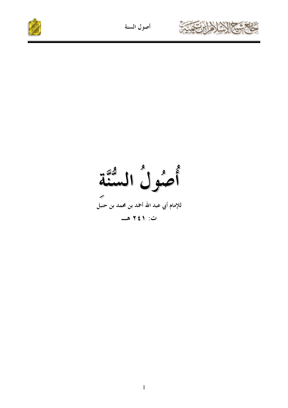



أصول السنة ے<br>للإمام أبي عبد الله أحمد بن محمد بن حنبل ت: ۲٤١ هـ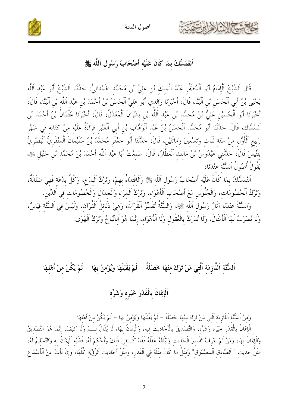

أصول السنة

اَلتَّمَسُّكُ بمَا كَانَ عَلَيْه أَصْحَابُ رَسُول اَللَّه ﷺ

قَالَ اَلشَّيْخُ اَلْإِمَامُ أَبُو اَلْمُظَفَّرِ عَبْدُ اَلْمَلِكِ بْنِ عَلِيٍّ بْنِ مُحَمَّدِ الْهَمْدَانِيُّ: حَدَّثَنَا اَلشَّيْخُ أَبُو عَبْدِ اَللَّهِ يَحْيَى بْنُ أَبِي اَلْحَسَنِ بْنِ اَلْبَنَّا، قَالَ: أَخْبَرَنَا وَالدي أَبُو عَليٍّ اَلْحَسَنُ بْنُ أَحْمَدَ بْن عَبْد اَللَّه بْن اَلْبَنَّا، قَالَ: أَخْبَرَنَا أَبُو اَلْحُسَيْنِ عَلِيُّ بْنُ مُحَمَّدِ بْنِ عَبْدِ اَللَّهِ بْنِ بِشْرَانَ اَلْمُعَلَّلُ، قَالَ: أَخْبَرَنَا عُثْمَانُ بْنُ أَحْمَدَ بْنِ اَلسَّمَّاك، قَالَ: حَلَّتْنَا أَبُو مُحَمَّد اَلْحَسَنُ بْنُ عَبْد اَلْوَهَّاب بْن أَبي اَلْعَنْبَر قراءَةً عَلَيْه منْ كتَابه في شَهْر رَبِيعِ اَلْأَوَّلِ مِنْ سَنَةِ ثَلَاثٍ وَتسْعِينَ وَمِائَتَيْنِ، قَالَ: حَلَّتْنَا أَبُو حَعْفَرٍ مُحَمَّدُ بْنُ سُلَيْمَانَ اَلْمِنْقَرِيُّ اَلْبَصْرِيُّ بتنِّيسَ قَالَ: حَلَّتَني عَبْدُوسُ بْنُ مَالك اَلْعَطَّارُ، قَالَ: سَمعْتُ أَبا عَبْد اَللَّه أَحْمَدَ بْنَ مُحَمَّد بْن حَنْبَل ﷺ، يَقُولُ أُصُولُ اَلِسُّنَّة عِنْدَنَا:

التَّمَسُّكُ بِمَا كَانَ عَلَيْهِ أَصْحَابُ رَسُولِ اَللَّهِ ﷺ وَاَلْاِقْتِدَاءُ بِهِمْ، وَتَرْكُ اَلْبِدَعِ، وَكُلُّ بِدْعَة فَهِيَ ضَلَالَةٌ، وَتَرْكُ اَلْخُصُومَات، وَالْجُلُوس مَعَ أَصْحَاب اَلْأَهْوَاء، وَتَرْكُ اَلْمرَاء وَالْجدَال وَالْخُصُومَات في اَلدِّين. وَالسُّنَّةُ عنْدَنَا آثَارُ رَسُول اَللَّه ﷺ، وَالسُّنَّةُ تُفَسِّرُ الْقُرْآنَ، وَهيَ دَلَائلُ الْقُرْآن، وَلَيْسَ في اَلسُّنَّة قيَاسٌ،

وَلَا تُضْرَبُ لَهَا اَلْأَمْثَالُ، وَلَا تُدْرَكُ بِالْعُقُولِ وَلَا اَلْأَهْوَاءِ، إنَّمَا هُوَ اَلاتَّبَاعُ وَتَرْكُ اَلْهَوَى.

اَلسُّنَّة اَللَّازِمَة اَلَّتِي مَنْ تَرَكَ مِنْهَا خَصْلَةً – لَمْ يَقْبَلْهَا وَيُؤْمِنْ بِهَا – لَمْ يَكُنْ منْ أَهْلهَا

## اَلْإِيمَانُ بِالْقَدَرِ خَيْرِهِ وَشَرِّهِ

وَمنْ السُّنَّة اللَّازِمَة الَّتي مَنْ تَرَكَ منْهَا خَصْلَةً – لَمْ يَقْبَلْهَا وَيُؤْمنْ بهَا – لَمْ يَكُنْ منْ أَهْلهَا

اَلْإِيمَانُ بِالْقَدَرِ خَيْرِه وَشَرِّه، وَالتَّصْدِيقُ بِالْأَحَادِيث فِيه، وَالْإِيمَانُ بِهَا، لَا يُقَالُ لِسمَ وَلَا كَيْفَ، إنَّمَا هُوَ التَّصْدِيقُ وَالْإِيمَانُ بهَا، وَمَنْ لَمْ يَعْرِفْ تَفْسيرَ الْحَديث وَيَبْلُغْهُ عَقْلَهُ فَقَدْ كُــفيَ ذَلكَ وَأُحْكمَ لَهُ، فَعَلَيْه الْإِيمَانُ به وَالتَّسْليمُ لَهُ، مِثْلُ حَدِيثِ " اَلصَّادِقِ اَلْمَصْدُوقِ" وَمِثْلُ مَا كَانَ مِثْلَهُ فِي اَلْقَدَرِ، وَمِثْلُ أَحَادِيثِ اَلرُّؤْيَةِ كُلُّهَا، وَإِنْ نَأْتْ عَنْ اَلْأَسْمَاعِ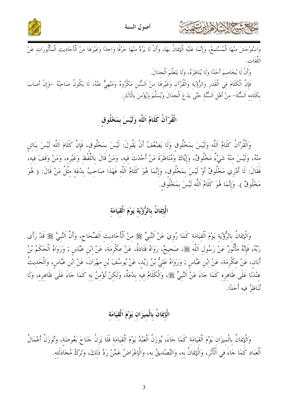



.<br>وَاسْتَوْحَشَ مِنْهَا اَلْمُسْتَمِعُ، وَإِنَّمَا عَلَيْهِ اَلْإِيمَانُ بِهَا، وَأَنْ لَا يَرُدَّ مِنْهَا حَرْفًا وَاحِدًا وَغَيْرَهَا مِنْ اَلْأَحَادِيثِ اَلْمَأْثُورَاتِ عَنْ

وَأَنْ لَا يُخَاصِمَ أَحَدًا وَلَا يُنَاظِرَهُ، وَلَا يَتَعَلَّمَ الْجِدَالَ.

فَإِنَّ الْكَلَامَ فِي اَلْقَدَرِ وَالرُّؤْيَةِ وَالْقُرْآنِ وَغَيْرِهَا مِنْ اَلسُّنَنِ مَكْرُوهُ وَمَنْهِيٌّ عَنْهُ، لَا يَكُونُ صَاحِبُهُ –وَإِنْ أَصَابَ بكَلَامه اَلسُّنَّةَ– منْ أَهْلِ اَلسُّنَّةِ حَتَّى يَدَعَ اَلْجِدَالَ وَيُسَلِّمَ وَيُؤْمِنَ بِالْآثَارِ.

#### الْقُرْآنُ كَلَامُ اَللَّه وَلَيْسَ بمَخْلُوق

وَالْقُرْآنُ كَلَامُ اَللَّه وَلَيْسَ بِمَخْلُوقٍ وَلَا يَضْعُفُ أَنْ يَقُولَ: لَيْسَ بِمَخْلُوقٍ، فَإِنَّ كَلَامَ اَللَّه لَيْسَ بِبَائنِ مِنْهُ، وَلَيْسَ مِنْهُ شَيْءٌ مَخْلُوقٌ، وَإِيَّاكَ وَمُنَاظَرَةَ مَنْ أَحْدَثَ فِيه، وَمَنْ قَالَ باللَّفْظ وَغَيْرِه، وَمَنْ وَقَفَ فِيه، فَقَالَ: لَا أَدْرِي مَخْلُوقٌ أَوْ لَيْسَ بمَخْلُوق، وَإِنَّمَا هُوَ كَلَامُ اَللَّهِ فَهَذَا صَاحِبُ بِدْعَةِ مِثْلُ مَنْ قَالَ: ( هُوَ مَخْلُوقٌ ). وَإِنَّمَا هُوَ كَلَامُ اَللَّهِ لَيْسَ بِمَخْلُوقٍ.

## الْإِيمَانُ بِالرُّؤْيَةِ يَوْمَ اَلْقِيَامَة

وَالْإِيمَانُ بِالرُّؤْيَة يَوْمَ اَلْقيَامَة كَمَا رُويَ عَنْ اَلنَّبِيٍّ ﷺ منْ اَلْأَحَاديث اَلصِّحَاح، وَأَنَّ النَّبيَّ ﷺ قَدْ رَأَى رَبَّهُ، فَإِنَّهُ مَأْثُورٌ عَنْ رَسُولِ اَللَّهِ ﷺ، صَحِيحٌ، رَوَاهُ قَتَادَةُ، عَنْ عِكْرِمَةَ، عَنْ ابْنِ عَبَّاسٍ ; وَرَوَاهُ اَلْحَكَمُ بْنُ أَبَانِ، عَنْ عِكْرِمَةَ، عَنْ ابْنِ عَبَّاسٍ ; وَرَوَاهُ عَلِيُّ بْنُ زَيْدٍ، عَنْ يُوسُفَ بْنِ مِهْرَانَ، عَنْ ابْنِ عَبَّاسٍ، وَالْحَدِيثُ عنْدَنَا عَلَى ظَاهرِه كَمَا حَاءَ عَنْ اَلنَّبِيِّ ﷺ، وَالْكَلَامُ فِيهِ بِدْعَةٌ، وَلَكِنْ نُؤْمِنُ بِهِ كَمَا حَاءَ عَلَى ظَاهِرِهِ، وَلَا نُنَاظِرُ فيه أَحَدًا.

## الْإِيمَانُ بِالْمِيزَانِ يَوْمَ اَلْقِيَامَة

وَالْإِيمَانُ بِالْميزَان يَوْمَ اَلْقيَامَة كَمَا جَاءَ، يُوزَنُ اَلْعَبْدُ يَوْمَ اَلْقيَامَة فَلَا يَزنُ جَنَاحَ بَعُوضَة، وَتُوزَنُ أَعْمَالُ اَلْعِبَادِ كَمَا جَاءَ فِي اَلْأَنْرِ، وَالْإِيمَانُ بِهِ، وَالتَّصْدِيقُ بِهِ، وَالْإِعْرَاضُ عَمَّنْ رَدَّ ذَلِكَ، وَتَرْكُ مُجَادَلَتِهِ.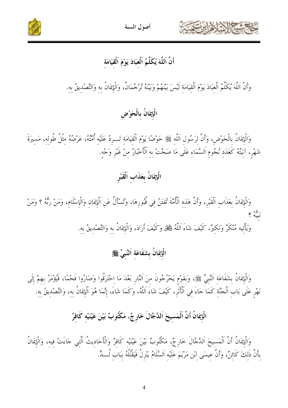





### أَنَّ اَللَّهَ يُكَلِّمُ اَلْعبَادَ يَوْمَ اَلْقيَامَة

وَأَنَّ اَللَّهَ يُكَلِّمُ اَلْعَبَادَ يَوْمَ اَلْقيَامَة لَيْسَ بَيْنَهُمْ وَبَيْنَهُ تُرْجُمَانٌ، وَالْإِيمَانُ بِهِ وَالتَّصْدِيقُ بِهِ.

#### الْإِيمَانُ بِالْحَوْضِ

وَالْإِيمَانُ بِالْحَوْضِ، وَأَنَّ لِرَسُولِ اَللَّهِ ﷺ حَوْضًا يَوْمَ اَلْقِيَامَةِ تَـــرِدُ عَلَيْه أُمَّتُهُ، عَرْضُهُ مثْلُ طُولِه، مَسيرَةَ شَهْرٍ، آنِيَتُهُ كَعَدَدِ نُجُومِ اَلسَّمَاءِ عَلَى مَا صَحَّتْ بِهِ اَلْأَخْبَارُ مِنْ غَيْرِ وَجْهِ.

# الْإِيمَانُ بِعَذَابِ اَلْقَبْرِ

وَالْإِيمَانُ بِعَذَابِ اَلْقَبْرِ، وَأَنَّ هَذِهِ اَلْأُمَّةَ تُفتَنُ فِي قُبُورِهَا، وَتُسْأَلُ عَنِ اَلْإِيمَانِ وَالْإِسْلَامِ، وَمَنْ رَبُّهُ ؟ وَمَنْ وَيَأْتِيه مُنْكَرٌ وَنَكِيرٌ، كَيْفَ شَاءَ اَللَّهُ فَيَجْلٌ وَكَيْفَ أَرَادَ، وَالْإِيمَانُ بِهِ وَالتَّصْديقُ بِهِ.

## الْإِيمَانُ بِشَفَاعَةِ اَلنَّبِيِّ ﷺ

وَالْإِيمَانُ بِشَفَاعَةِ اَلنَّبِيِّ ﷺ، وَبقَوْمٍ يَخْرُجُونَ مِنَ اَلنَّارِ بَعْدَ مَا اِحْتَرَقُوا وَصَارُوا فَحْمًا، فَيُؤْمَرُ بِهِمْ إِلَى نَهْرٍ عَلَى بَابٍ اَلْحَنَّةِ كَمَا حَاءَ فِي الْأَثْرِ، كَيْفَ شَاءَ اللَّهُ، وَكَمَا شَاءَ، إِنَّمَا هُوَ الْإِيمَانُ بِهِ، وَالتَّصْدِيقُ بِهِ.

# الْإِيمَانُ أَنَّ اَلْمَسِيحَ اَلدَّجَّالَ خَارِجٌّ، مَكْتُوبٌ بَيْنَ عَيْنَيْهِ كَافِرٌ

وَالْإِيمَانُ أَنَّ الْمَسِيحَ اَلدَّجَّالَ خَارِجٌ، مَكْتُوبٌ بَيْنَ عَيْنَيْهِ كَافِرٌ وَالْأَحَادِيثُ اَلَّتِي حَاءَتْ فِيهِ، وَالْإِيمَانُ بِأَنَّ ذَلِكَ كَائِنٌ، وَأَنَّ عِيسَى ابْنِ مَرْيَمَ عَلَيْهِ اَلسَّلَامُ يَنْزِلُ فَيَقْتُلُهُ بِبَابِ لُـــدٍّ.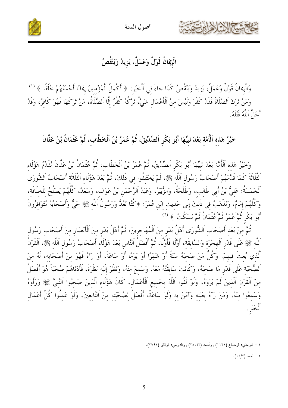

أصول السنة



الْإِيمَانُ قَوْلٌ وَعَمَلٌ، يَزِيدُ وَيَنْقُصُ

وَالْإِيمَانُ قَوْلٌ وَعَمَلٌ، يَزِيدُ وَيَنْقُصُ كَمَا جَاءَ في اَلْخَبَر : ﴿ أَكْمَلُ اَلْمُؤْمنينَ إِيمَانًا أَحْسَنُهُمْ خُلُقًا ﴾ <sup>(١)</sup> وَمَنْ تَرَكَ اَلصَّلَاةَ فَقَدْ كَفَرَ وَلَيْسَ منْ اَلْأَعْمَال شَيْءٌ تَرْكُهُ كُفْرٌ إِلَّا اَلصَّلَاةُ، مَنْ تَرَكَهَا فَهُوَ كَافرٌ، وَقَدْ أَحَلَّ اَللَّهُ قَتْلَهُ.

خَيْرُ هَذِهِ اَلْأُمَّةِ بَعْدَ نَبِيِّهَا أَبُو بَكْرِ اَلصِّدِّيقُ، ثُمَّ عُمَرُ بْنُ اَلْخَطَّاب، ثُمَّ عُثْمَانُ بْنُ عَفَّانَ

وَحَيْرُ هَذِهِ اَلْأُمَّةِ بَعْدَ نَبِيِّهَا أَبُو بَكْرِ اَلصِّدِّيقُ، ثُمَّ عُمَرُ بْنُ الْخَطَّاب، ثُمَّ عُثْمَانُ بْنُ عَفَّانَ نُقَدِّمُ هَؤُلَاء اَلثَّلَاثَةَ كَمَا قَدَّمَهُمْ أَصْحَابُ رَسُولِ اَللَّهِ ﷺ، لَمْ يَخْتَلفُوا في ذَلكَ، ثُمَّ بَعْدَ هَؤُلَاء اَلثَّلَاثَة أَصْحَابُ اَلشُّورَى اَلْخَمْسَةُ: عَليُّ بْنُ أَبي طَالب، وَطَلْحَةُ، وَالزُّبيرُ، وَعَبْدُ اَلرَّحْمَن بْنُ عَوْف، وَسَعْدٌ، كُلّهُمْ يَصْلُحُ للْخلَافَة، وَكُلُّهُمْ إِمَامٌ، وَنَذْهَبُ فِي ذَلِكَ إِلَى حَدِيثِ ابْنِ عُمَرَ: ﴿كُنَّا نَعُلُّ وَرَسُولُ اَللّهِ ﷺ حَيّ وَأَصْحَابُهُ مُتَوَافِرُونَ أَبُو بَكْرٍ نُمَّ مُمَرُّ نُمَّ عُتْمَانُ ثُمَّ نَسْكُتُ ﴾ (٢)

ثُمَّ منْ بَعْد أَصْحَاب اَلشُّورَى أَهْلُ بَدْرٍ منْ اَلْمُهَاجرِينَ، ثُمَّ أَهْلُ بَدْرِ مِنْ اَلْأَنصَارِ مِنْ أَصْحَابٍ رَسُولِ اَللَّه ﷺ عَلَى قَدْرِ اَلْهِجْرَة وَالسَّابِقَة، أَوَّلًا فَأَوَّلًا، ثُمَّ أَفْضَلُ اَلنَّاس بَعْدَ هَؤُلَاء أَصْحَابُ رَسُول اَللَّه ﷺ، اَلْقَرْنُ اَلَّذي بُعتَ فيهمْ. وَكُلُّ مَنْ صَحبَهُ سَنَةً أَوْ شَهْرًا أَوْ يَوْمًا أَوْ سَاعَةً، أَوْ رَآهُ فَهُوَ منْ أَصْحَابه، لَهُ منْ اَلصُّحْبَة عَلَى قَدْرٍ مَا صَحبَهُ، وَكَانَتْ سَابقَتُهُ مَعَهُ، وَسَمعَ منْهُ، وَنَظَرَ إلَيْه نَظْرَةً، فَأَدْنَاهُمْ صُحْبَةً هُوَ أَفْضَلُ منْ اَلْقَرْنِ اَلَّذِينَ لَمْ يَرَوْهُ، وَلَوْ لَقُوا اَللَّهَ بجَميع الْأَعْمَالِ، كَانَ هَؤُلَاء اَلَّذِينَ صَحبُوا اَلنَّبيَّ ﷺ وَرَأَوْهُ وَسَمعُوا منْهُ، وَمَنْ رَآهُ بعَيْنه وَآمَنَ به وَلَوْ سَاعَةً، أَفْضَلُ لصُحْبَته منْ اَلتَّابعينَ، وَلَوْ عَمِلُوا كُلَّ أَعْمَالِ ٱلْخَيْرِ .

٢ - أحمد (١٤/٢).

١ – الترمذي: الرضاع (١١٦٢) , وأحمد (٢/٢٥٠) , والدارمي: الرقاق (٢٧٩٢).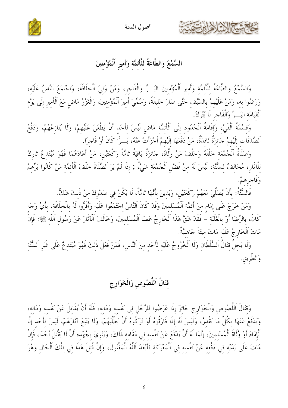

أصول السنة

SP White

السَّمْعُ وَالطَّاعَةُ للْأَئمَّة وَأَمير اَلْمُؤْمنينَ

وَالسَّمْعُ وَالطَّاعَةُ لِلْأَئِمَّةِ وَأَمِيرِ اَلْمُؤْمِنِينَ البَــرِّ وَالْفَاجِرِ، وَمَنْ وَلِيَ اَلْخِلَافَةَ، وَاجْتَمَعَ اَلنَّاسُ عَلَيْهِ، وَرَضُوا بِهِ، وَمَنْ عَلَيْهِمْ بِالسَّيْفِ حَتَّى صَارَ خَلِيفَةً، وَسُمِّيَ أَمِيرَ اَلْمُؤْمِنِينَ، وَالْغَرْوُ مَاضٍ مَعَ اَلْأَمِيرِ إِلَى يَوْمِ اَلْقيَامَة البَـــرِّ وَالْفَاحر لَا يُتْرَكُ.

وَقسْمَةُ اَلْفَيْءِ وَإِقَامَةُ اَلْحُدُود إِلَى اَلْأَئمَّة مَاض لَيْسَ لأَحَد أَنْ يَطْعَنَ عَلَيْهمْ، وَلَا يُنَازعُهُمْ، وَدَفْعُ اَلصَّدَقَات إِلَيْهِمْ جَائِزَةٌ نَافذَةٌ، مَنْ دَفَعَهَا إِلَيْهِمْ أَجْزَأَتْ عَنْهُ، بَــرًّا كَانَ أَوْ فَاجرًا.

وَصَلَاةُ اَلْجُمْعَةِ خَلْفَهُ وَخَلْفَ مَنْ وَلَّاهُ، حَائِزَةٌ بَاقِيَةٌ تَامَّةٌ رَكْعَتَيْنِ، مَنْ أَعَادَهُمَا فَهُوَ مُبْتَدِعٌ تَارِكٌ لِلْآثَارِ، مُخَالِفٌ لِلسُّنَّةِ، لَيْسَ لَهُ مِنْ فَضْلِ اَلْجُمْعَةِ شَيْءٌ ; إِذَا لَمْ يَرَ اَلصَّلَاةَ خَلْفَ اَلْأَئِمَّةِ مَنْ كَانُوا بَرِّهِمْ وَفَاجرهمْ.

فَالسُّنَّةُ: بِأَنْ يُصَلِّيَ مَعَهُمْ رَكْعَتَيْنِ، وَيَدِينَ بِأَنَّهَا تَامَّةٌ، لَا يَكُنْ في صَدْرِكَ منْ ذَلكَ شَكٌّ.

وَمَنْ خَرَجَ عَلَى إِمَامٍ منْ أَئمَّة اَلْمُسْلِمِينَ وَقَدْ كَانَ اَلنَّاسُ اِحْتَمَعُوا عَلَيْهِ وَأَقَرُّوا لَهُ بِالْخلَافَة، بأَيِّ وَجْه كَانَ، بِالرِّضَا أَوْ بِالْغَلَبَةِ – فَقَدْ شَقَّ هَذَا اَلْخَارِجُ عَصَا اَلْمُسْلِمِينَ، وَخَالَفَ اَلْآثَارَ عَنْ رَسُولِ اَللَّهِ ﷺ: فَإِنْ مَاتَ اَلْخَارِ جُ عَلَيْه مَاتَ ميتَةً جَاهليَّةً.

وَلَا يَحِلُّ قِتَالُ اَلسُّلْطَانِ وَلَا اَلْخُرُوجُ عَلَيْهِ لِأَحَدٍ مِنْ اَلنَّاسِ، فَمَنْ فَعَلَ ذَلِكَ فَهُوَ مُبْتَدِعٌ عَلَى غَيْرِ اَلسُّنَّةِ وَالطَّرِيقِ.

## قتَالُ اَللَّصُوصِ وَالْخَوَارِجِ

وَقَتَالُ اَللَّصُوصِ وَالْخَوَارِجِ جَائزٌ إذَا عَرَضُوا للرَّجُلِ في نَفْسه وَمَاله، فَلَهُ أَنْ يُقَاتلَ عَنْ نَفْسه وَمَاله، وَيَدْفَعُ عَنْهَا بِكُلِّ مَا يَقْدرُ، وَلَيْسَ لَهُ إذَا فَارَقُوهُ أَوْ تَرَكُوهُ أَنْ يَطْلُبَهُمْ، وَلَا يَتْبَعَ آثَارَهُمْ، لَيْسَ لأَحَد إلَّا اَلْإِمَامَ أَوْ وُلَاةَ اَلْمُسْلمينَ، إنَّمَا لَهُ أَنْ يَدْفَعَ عَنْ نَفْسه في مَقَامه ذَلكَ، وَيَنْويَ بجُهْده أَنْ لَا يَقْتُلَ أَحَدًا، فَإِنْ مَاتَ عَلَى يَدَيْهِ فِي دَفْعِهِ عَنْ نَفْسِهِ فِي اَلْمَعْرَكَةِ فَأَبْعَدَ اَللَّهُ اَلْمَقْتُولَ، وَإِنْ قُتِلَ هَذَا فِي تِلْكَ اَلْحَالِ وَهُوَ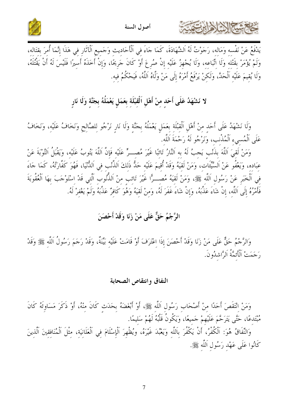





يَدْفَعُ عَنْ نَفْسه وَمَاله، رَجَوْتُ لَهُ اَلشَّهَادَةَ، كَمَا جَاءَ فِي اَلْأَحَادِيثِ وَجَمِيعِ اَلْآثَارِ فِي هَذَا إِنَّمَا أُمِرَ بِقِتَالِهِ، وَلَمْ يُؤْمَرْ بقَتْله وَلَا اتِّبَاعه، وَلَا يُجْهزُ عَلَيْه إنْ صُرعَ أَوْ كَانَ جَريحًا، وَإِنْ أخذهُ أسيرًا فَلَيْسَ لَهُ أَنْ يَقْتُلَهُ، وَلَا يُقيمَ عَلَيْه اَلْحَدَّ، وَلَكنْ يَرْفَعُ أَمْرَهُ إِلَى مَنْ وَلَّاهُ اَللَّهُ، فَيَحْكُمُ فيه.

# لا نَشْهَدُ عَلَى أَحَدٍ مِنْ أَهْلِ اَلْقِبْلَةِ بِعَمَلٍ يَعْمَلُهُ بِجَنَّةٍ وَلَا نَارِ

وَلَا نَشْهَدُ عَلَى أَحَدٍ مِنْ أَهْلِ اَلْقِبْلَةِ بِعَمَلٍ يَعْمَلُهُ بِجَنَّةٍ وَلَا نَارٍ نَرْجُو لِلصَّالِحِ وَنَخَافُ عَلَيْهِ، وَنَخَافُ عَلَى اَلْمُسىء اَلْمُذْنب، وَنَرْجُو لَهُ رَحْمَةَ اَللَّه.

وَمَنْ لَقيَ اَللَّهَ بِذَنْبٍ يَجبُ لَهُ به اَلنَّارُ تَائِبًا غَيْرَ مُصـــرٍّ عَلَيْه فَإِنَّ اَللَّهَ يَتُوبُ عَلَيْه، وَيَقْبَلُ اَلتَّوْبَةَ عَنْ عِبَادِهِ، وَيَعْفُو عَنْ اَلسَّيِّئَاتِ، وَمَنْ لَقيَهُ وَقَدْ أُقِيمَ عَلَيْه حَدُّ ذَلكَ اَلذَّنْب في اَلدُّنْيَا، فَهُوَ كَفَّارَتُهُ، كَمَا جَاءَ في اَلْخَبَر عَنْ رَسُول اَللَّه ﷺ، وَمَنْ لَقيَهُ مُصـــرًّا غَيْرَ تَائب منْ اَلذُّنُوب اَلَّتي قَدْ اسْتَوْجَبَ بهَا اَلْعُقُوبَةَ فَأَمْرُهُ إِلَى اَللَّهِ، إِنْ شَاءَ عَذَّبَهُ، وَإِنْ شَاءَ غَفَرَ لَهُ، وَمِنْ لَقِيَهُ وَهُوَ كَافِرٌ عَذَّبَهُ وَلَمْ يَغْفِرْ لَهُ.

#### الرَّجْمُ حَقٌّ عَلَى مَنْ زَنَا وَقَدْ أَحْصَنَ

وَالرَّجْمُ حَقٌّ عَلَى مَنْ زَنَا وَقَدْ أَحْصَنَ إِذَا اِعْتَرَفَ أَوْ قَامَتْ عَلَيْهِ بَيِّنَةٌ، وَقَدْ رَجَمَ رَسُولُ اَللَّهِ ﷺ وَقَدْ رَجَمَتْ اَلْأَتْمَّةُ اَلرَّاشْدُونَ.

#### النفاق وانتقاص الصحابة

وَمَنْ انْتَقَصَ أَحَدًا منْ أَصْحَاب رَسُول اَللَّه ﷺ، أَوْ أَبْغَضَهُ بحَدَث كَانَ منْهُ، أَوْ ذَكَرَ مَسَاوئَهُ كَانَ مُبْتَدعًا، حَتَّى يَتَرَحَّمَ عَلَيْهِمْ جَميعًا، وَيَكُونُ قَلْبُهُ لَهُمْ سَليمًا.

وَالنِّفَاقُ هُوَ: اَلْكُفْرُ، أَنْ يَكْفُرَ بِاَللَّهِ وَيَعْبُدَ غَيْرَهُ، ويُظْهِرَ اَلْإِسْلَامَ فِي اَلْعَلَانيَة، مِثْلَ اَلْمُنَافقينَ اَلَّذِينَ كَانُوا عَلَى عَهْد رَسُول اَللَّه ﷺ.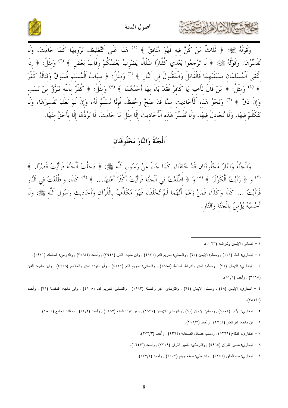





وَقَوْلُهُ ﷺ: ﴿ ثَلَاثٌ مَنْ كُنَّ فِيهِ فَهُوَ مُنَافِقٌ ﴾ ('' هَذَا عَلَى اَلتَّغْلِيظ، نَرْوِيهَا كَمَا جَاءَتْ، وَلَا نُفَسِّرُهَا. وَقَوْلُهُ ﷺ: ﴿ لَا تَرْجعُوا بَعْدي كُفَّارًا ضُلَّالًا يَضْربُ بَعْضُكُمْ رِقَابَ بَعْض ﴾ (٢) وَمثْلُ: ﴿ إِذَا الْتَقَى اَلْمُسْلمَان بسَيْفَيْهِمَا فَالْقَاتلُ وَالْمَقْتُولُ في اَلنَّارِ ﴾ (") وَمثْلُ: ﴿ سبَابُ اَلْمُسْلَم فُسُوقٌ وَقتَالُهُ كُفْرٌ ﴾ <sup>(٤)</sup> وَمِثْلُ: ﴿ مَنْ قَالَ لِأَحِيهِ يَا كَافِرُ فَقَدْ بَاءَ بِهَا أَحَدُهُمَا ﴾ <sup>(٥)</sup> وَمثْلُ: ﴿ كُفْرٌ بِاَللَّه تَبَرُّؤٌ منْ نَسَب وَإِنْ دَقَّ ﴾ (٦) وَنَحْوُ هَذه اَلْأَحَاديث ممَّا قَدْ صَحَّ وحُفظَ، فَإِنَّا نُسَلِّمُ لَهُ، وَإِنْ لَمْ نَعْلَمْ تَفْسيرَهَا، وَلَا نَتَكَلَّمْ فيهَا، وَلَا نُجَادلْ فيهَا، وَلَا نُفَسِّرْ هَذه الْأَحَاديثَ إلَّا مثْلَ مَا جَاءَتْ، لَا نَرُدُّهَا إلَّا بأَحَقَّ منْهَا.

#### اَلْجَنَّةُ وَالنَّارُ مَخْلُوقَتَان

وَالْحَنَّةُ وَالنَّارُ مَخْلُوقَتَانِ قَدْ خُلقَتَا، كَمَا جَاءَ عَنْ رَسُولِ اَللَّهِ ﷺ: ﴿ دَخَلْتُ أَلْحَنَّةَ فَرَأَيْتُ قَصْرًا. ﴾ <sup>(٧)</sup> وَ ﴿ رَأَيْتُ اَلْكُوْتُرَ ﴾ <sup>(٨)</sup> وَ ﴿ اطَّلَعْتُ فِي اَلْجَنَّة فَرَأَيْتُ أَكْثَرَ أَهْلَهَا... ﴾ <sup>(٩)</sup> كَذَا، وَاطَّلَعْتُ في اَلنَّار فَرَأَيْتُ … كَذَا وَكَذَا، فَمَنْ زَعَمَ أَنَّهُمَا لَمْ تُخْلَقَا، فَهُوَ مُكَذِّبٌ بِالْقُرْآنِ وَأَحَادِيث رَسُولِ اَللَّهِ ﷺ، وَلَا أَحْسَبُهُ يُؤْمِنُ بِالْجَنَّة وَالنَّارِ.

٢ – البخاري: العلم (١٢١) , ومسلم: الإيمان (٦٥) , والنسائي: تحريم الدم (٤١٣١) , وابن ماجه: الفتن (٣٩٤٢) , وأحمد (٣٥٨/٤) , والدارمي: المناسك (١٩٢١).

٣ – البخاري: الإيمان (٣١) , ومسلم: الفتن وأشراط الساعة (٢٨٨٨) , والنسائي: تحريم الدم (٤١٢٢) , وأبو داود: الفتن والملاحم (٤٢٦٨) , وابن ماجه: الفتن (٣٩٦٥) , وأحمد (٥١/٥).

٤ – البخارى: الإيمان (٤٨) , ومسلم: الإيمان (٦٤) , والترمذي: البر والصلة (١٩٨٣) , والنسائي: تحريم الدم (٤١٠٨) , وابن ماجه: المقدمة (٦٩) , وأحمد  $\cdot$ (۳۸۰/۱)

٥ – البخاري: الأدب (٦١٠٤) , ومسلم: الإيمان (٦٠) , والنزمذي: الإيمان (٢٦٣٧) , وأبو داود: السنة (٤٦٨٧) , وأحمد (٤٤/٢) , ومالك: الجامع (١٨٤٤).

- ٦ ابن ماجه: الفر ائض (٢٧٤٤) , و أحمد (٢١٥/٢).
- ٧ البخاري: النكاح (٥٢٢٦) , ومسلم: فضائل الصحابة (٢٣٩٤) , وأحمد (٣٧٢/٣).
- ٨ البخاري: نفسير القرآن (٤٩٦٤) , والترمذي: نفسير القرآن (٣٣٥٩) , وأحمد (١٦٤/٣).
	- ۹ البخاري: بدء الخلق (٢٢٤١) , والترمذي: صفة جهنم (٢٦٠٣) , وأحمد (٢٢٧/٤).

١ – النسائبي: الإيمان وشر ائعه (٥٠٢٣).